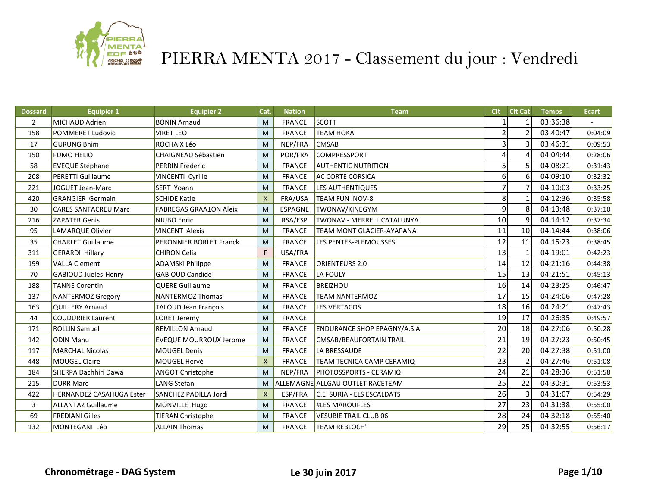

| <b>Dossard</b> | <b>Equipier 1</b>           | <b>Equipier 2</b>              | Cat.         | <b>Nation</b> | Team                               | Clt            | <b>Clt Cat</b> | <b>Temps</b> | <b>Ecart</b> |
|----------------|-----------------------------|--------------------------------|--------------|---------------|------------------------------------|----------------|----------------|--------------|--------------|
| $\overline{2}$ | MICHAUD Adrien              | <b>BONIN Arnaud</b>            | M            | <b>FRANCE</b> | SCOTT                              |                | 1              | 03:36:38     |              |
| 158            | <b>POMMERET Ludovic</b>     | <b>VIRET LEO</b>               | M            | <b>FRANCE</b> | <b>TEAM HOKA</b>                   | $\overline{2}$ |                | 03:40:47     | 0:04:09      |
| 17             | <b>GURUNG Bhim</b>          | ROCHAIX Léo                    | M            | NEP/FRA       | <b>CMSAB</b>                       | 3              | 3              | 03:46:31     | 0:09:53      |
| 150            | <b>FUMO HELIO</b>           | CHAIGNEAU Sébastien            | M            | POR/FRA       | COMPRESSPORT                       | 4              | 4              | 04:04:44     | 0:28:06      |
| 58             | <b>EVEQUE Stéphane</b>      | PERRIN Fréderic                | M            | <b>FRANCE</b> | <b>AUTHENTIC NUTRITION</b>         | 5              | 5              | 04:08:21     | 0:31:43      |
| 208            | <b>PERETTI Guillaume</b>    | VINCENTI Cyrille               | M            | <b>FRANCE</b> | <b>AC CORTE CORSICA</b>            | 6              | 6              | 04:09:10     | 0:32:32      |
| 221            | <b>JOGUET Jean-Marc</b>     | SERT Yoann                     | M            | <b>FRANCE</b> | LES AUTHENTIQUES                   | $\overline{7}$ | $\overline{7}$ | 04:10:03     | 0:33:25      |
| 420            | <b>GRANGIER Germain</b>     | <b>SCHIDE Katie</b>            | $\mathsf{x}$ | FRA/USA       | TEAM FUN INOV-8                    | 8              |                | 04:12:36     | 0:35:58      |
| 30             | <b>CARES SANTACREU Marc</b> | <b>FABREGAS GRAñON Aleix</b>   | M            | ESPAGNE       | TWONAV/KINEGYM                     | 9              | 8              | 04:13:48     | 0:37:10      |
| 216            | <b>ZAPATER Genis</b>        | <b>NIUBO Enric</b>             | M            | RSA/ESP       | TWONAV - MERRELL CATALUNYA         | 10             | $\overline{9}$ | 04:14:12     | 0:37:34      |
| 95             | LAMARQUE Olivier            | <b>VINCENT Alexis</b>          | M            | <b>FRANCE</b> | TEAM MONT GLACIER-AYAPANA          | 11             | 10             | 04:14:44     | 0:38:06      |
| 35             | <b>CHARLET Guillaume</b>    | <b>PERONNIER BORLET Franck</b> | M            | <b>FRANCE</b> | LES PENTES-PLEMOUSSES              | 12             | 11             | 04:15:23     | 0:38:45      |
| 311            | <b>GERARDI Hillary</b>      | <b>CHIRON Celia</b>            | F            | USA/FRA       |                                    | 13             |                | 04:19:01     | 0:42:23      |
| 199            | <b>VALLA Clement</b>        | <b>ADAMSKI Philippe</b>        | M            | <b>FRANCE</b> | ORIENTEURS 2.0                     | 14             | 12             | 04:21:16     | 0:44:38      |
| 70             | <b>GABIOUD Jueles-Henry</b> | <b>GABIOUD Candide</b>         | M            | <b>FRANCE</b> | <b>LA FOULY</b>                    | 15             | 13             | 04:21:51     | 0:45:13      |
| 188            | <b>TANNE Corentin</b>       | <b>QUERE Guillaume</b>         | M            | <b>FRANCE</b> | <b>BREIZHOU</b>                    | 16             | 14             | 04:23:25     | 0:46:47      |
| 137            | NANTERMOZ Gregory           | <b>NANTERMOZ Thomas</b>        | M            | <b>FRANCE</b> | <b>TEAM NANTERMOZ</b>              | 17             | 15             | 04:24:06     | 0:47:28      |
| 163            | QUILLERY Arnaud             | TALOUD Jean François           | M            | <b>FRANCE</b> | <b>LES VERTACOS</b>                | 18             | 16             | 04:24:21     | 0:47:43      |
| 44             | <b>COUDURIER Laurent</b>    | LORET Jeremy                   | M            | <b>FRANCE</b> |                                    | 19             | 17             | 04:26:35     | 0:49:57      |
| 171            | <b>ROLLIN Samuel</b>        | <b>REMILLON Arnaud</b>         | M            | <b>FRANCE</b> | <b>ENDURANCE SHOP EPAGNY/A.S.A</b> | 20             | 18             | 04:27:06     | 0:50:28      |
| 142            | <b>ODIN Manu</b>            | <b>EVEQUE MOURROUX Jerome</b>  | M            | <b>FRANCE</b> | <b>CMSAB/BEAUFORTAIN TRAIL</b>     | 21             | 19             | 04:27:23     | 0:50:45      |
| 117            | <b>MARCHAL Nicolas</b>      | <b>MOUGEL Denis</b>            | M            | <b>FRANCE</b> | LA BRESSAUDE                       | 22             | 20             | 04:27:38     | 0:51:00      |
| 448            | <b>MOUGEL Claire</b>        | MOUGEL Hervé                   | $\mathsf{x}$ | <b>FRANCE</b> | TEAM TECNICA CAMP CERAMIQ          | 23             | $\mathcal{P}$  | 04:27:46     | 0:51:08      |
| 184            | SHERPA Dachhiri Dawa        | ANGOT Christophe               | M            | NEP/FRA       | PHOTOSSPORTS - CERAMIQ             | 24             | 21             | 04:28:36     | 0:51:58      |
| 215            | <b>DURR Marc</b>            | LANG Stefan                    | M            |               | ALLEMAGNE ALLGAU OUTLET RACETEAM   | 25             | 22             | 04:30:31     | 0:53:53      |
| 422            | HERNANDEZ CASAHUGA Ester    | SANCHEZ PADILLA Jordi          | $\mathsf{x}$ | ESP/FRA       | C.E. SÚRIA - ELS ESCALDATS         | 26             | 3              | 04:31:07     | 0:54:29      |
| 3              | <b>ALLANTAZ Guillaume</b>   | MONVILLE Hugo                  | M            | <b>FRANCE</b> | <b>#LES MAROUFLES</b>              | 27             | 23             | 04:31:38     | 0:55:00      |
| 69             | <b>FREDIANI Gilles</b>      | <b>TIERAN Christophe</b>       | M            | <b>FRANCE</b> | <b>VESUBIE TRAIL CLUB 06</b>       | 28             | 24             | 04:32:18     | 0:55:40      |
| 132            | MONTEGANI Léo               | <b>ALLAIN Thomas</b>           | M            | <b>FRANCE</b> | TEAM REBLOCH'                      | 29             | 25             | 04:32:55     | 0:56:17      |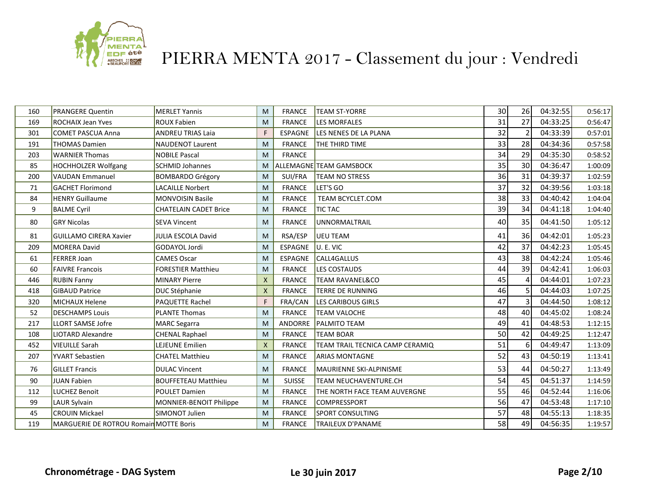

| 160 | <b>PRANGERE Quentin</b>                | <b>MERLET Yannis</b>         | M                         | <b>FRANCE</b>  | <b>TEAM ST-YORRE</b>            | 30 <sup>1</sup> | <b>26</b>      | 04:32:55 | 0:56:17 |
|-----|----------------------------------------|------------------------------|---------------------------|----------------|---------------------------------|-----------------|----------------|----------|---------|
| 169 | <b>ROCHAIX Jean Yves</b>               | <b>ROUX Fabien</b>           | M                         | <b>FRANCE</b>  | <b>LES MORFALES</b>             | 31              | 27             | 04:33:25 | 0:56:47 |
| 301 | <b>COMET PASCUA Anna</b>               | <b>ANDREU TRIAS Laia</b>     | F                         | ESPAGNE        | LES NENES DE LA PLANA           | 32              | $\mathfrak{p}$ | 04:33:39 | 0:57:01 |
| 191 | <b>THOMAS Damien</b>                   | <b>NAUDENOT Laurent</b>      | M                         | <b>FRANCE</b>  | THE THIRD TIME                  | 33              | 28             | 04:34:36 | 0:57:58 |
| 203 | <b>WARNIER Thomas</b>                  | <b>NOBILE Pascal</b>         | M                         | <b>FRANCE</b>  |                                 | 34              | 29             | 04:35:30 | 0:58:52 |
| 85  | <b>HOCHHOLZER Wolfgang</b>             | SCHMID Johannes              | M                         |                | ALLEMAGNE TEAM GAMSBOCK         | 35              | 30             | 04:36:47 | 1:00:09 |
| 200 | <b>VAUDAN Emmanuel</b>                 | <b>BOMBARDO Grégory</b>      | M                         | SUI/FRA        | <b>TEAM NO STRESS</b>           | 36              | 31             | 04:39:37 | 1:02:59 |
| 71  | <b>GACHET Florimond</b>                | <b>LACAILLE Norbert</b>      | M                         | <b>FRANCE</b>  | LET'S GO                        | 37              | 32             | 04:39:56 | 1:03:18 |
| 84  | <b>HENRY Guillaume</b>                 | <b>MONVOISIN Basile</b>      | M                         | <b>FRANCE</b>  | TEAM BCYCLET.COM                | 38              | 33             | 04:40:42 | 1:04:04 |
| 9   | <b>BALME Cyril</b>                     | <b>CHATELAIN CADET Brice</b> | M                         | <b>FRANCE</b>  | TIC TAC                         | 39              | 34             | 04:41:18 | 1:04:40 |
| 80  | <b>GRY Nicolas</b>                     | <b>SEVA Vincent</b>          | M                         | <b>FRANCE</b>  | <b>UNNORMALTRAIL</b>            | 40              | 35             | 04:41:50 | 1:05:12 |
| 81  | <b>GUILLAMO CIRERA Xavier</b>          | <b>JULIA ESCOLA David</b>    | M                         | RSA/ESP        | <b>UEU TEAM</b>                 | 41              | 36             | 04:42:01 | 1:05:23 |
| 209 | <b>MORERA David</b>                    | GODAYOL Jordi                | M                         | ESPAGNE        | U. E. VIC                       | 42              | 37             | 04:42:23 | 1:05:45 |
| 61  | <b>FERRER Joan</b>                     | <b>CAMES Oscar</b>           | M                         | ESPAGNE        | CALL4GALLUS                     | 43              | 38             | 04:42:24 | 1:05:46 |
| 60  | <b>FAIVRE Francois</b>                 | <b>FORESTIER Matthieu</b>    | M                         | <b>FRANCE</b>  | LES COSTAUDS                    | 44              | 39             | 04:42:41 | 1:06:03 |
| 446 | <b>RUBIN Fanny</b>                     | <b>MINARY Pierre</b>         | $\boldsymbol{\mathsf{X}}$ | <b>FRANCE</b>  | <b>TEAM RAVANEL&amp;CO</b>      | 45              |                | 04:44:01 | 1:07:23 |
| 418 | <b>GIBAUD Patrice</b>                  | DUC Stéphanie                | $\mathsf{x}$              | <b>FRANCE</b>  | <b>TERRE DE RUNNING</b>         | 46              | 5              | 04:44:03 | 1:07:25 |
| 320 | MICHAUX Helene                         | PAQUETTE Rachel              | F                         | FRA/CAN        | <b>LES CARIBOUS GIRLS</b>       | 47              | 3              | 04:44:50 | 1:08:12 |
| 52  | <b>DESCHAMPS Louis</b>                 | <b>PLANTE Thomas</b>         | M                         | <b>FRANCE</b>  | <b>TEAM VALOCHE</b>             | 48              | 40             | 04:45:02 | 1:08:24 |
| 217 | <b>LLORT SAMSE Jofre</b>               | <b>MARC</b> Segarra          | M                         | <b>ANDORRE</b> | <b>PALMITO TEAM</b>             | 49              | 41             | 04:48:53 | 1:12:15 |
| 108 | <b>LIOTARD Alexandre</b>               | <b>CHENAL Raphael</b>        | M                         | <b>FRANCE</b>  | <b>TEAM BOAR</b>                | 50              | 42             | 04:49:25 | 1:12:47 |
| 452 | <b>VIEUILLE Sarah</b>                  | LEJEUNE Emilien              | $\boldsymbol{\mathsf{X}}$ | <b>FRANCE</b>  | TEAM TRAIL TECNICA CAMP CERAMIQ | 51              | 6              | 04:49:47 | 1:13:09 |
| 207 | <b>YVART Sebastien</b>                 | <b>CHATEL Matthieu</b>       | M                         | <b>FRANCE</b>  | <b>ARIAS MONTAGNE</b>           | 52              | 43             | 04:50:19 | 1:13:41 |
| 76  | <b>GILLET Francis</b>                  | <b>DULAC Vincent</b>         | M                         | <b>FRANCE</b>  | MAURIENNE SKI-ALPINISME         | 53              | 44             | 04:50:27 | 1:13:49 |
| 90  | JUAN Fabien                            | <b>BOUFFETEAU Matthieu</b>   | M                         | <b>SUISSE</b>  | TEAM NEUCHAVENTURE.CH           | 54              | 45             | 04:51:37 | 1:14:59 |
| 112 | <b>LUCHEZ Benoit</b>                   | <b>POULET Damien</b>         | M                         | <b>FRANCE</b>  | THE NORTH FACE TEAM AUVERGNE    | 55              | 46             | 04:52:44 | 1:16:06 |
| 99  | LAUR Sylvain                           | MONNIER-BENOIT Philippe      | M                         | <b>FRANCE</b>  | <b>COMPRESSPORT</b>             | 56              | 47             | 04:53:48 | 1:17:10 |
| 45  | <b>CROUIN Mickael</b>                  | SIMONOT Julien               | M                         | <b>FRANCE</b>  | <b>SPORT CONSULTING</b>         | 57              | 48             | 04:55:13 | 1:18:35 |
| 119 | MARGUERIE DE ROTROU Romain MOTTE Boris |                              | M                         | <b>FRANCE</b>  | <b>TRAILEUX D'PANAME</b>        | 58              | 49             | 04:56:35 | 1:19:57 |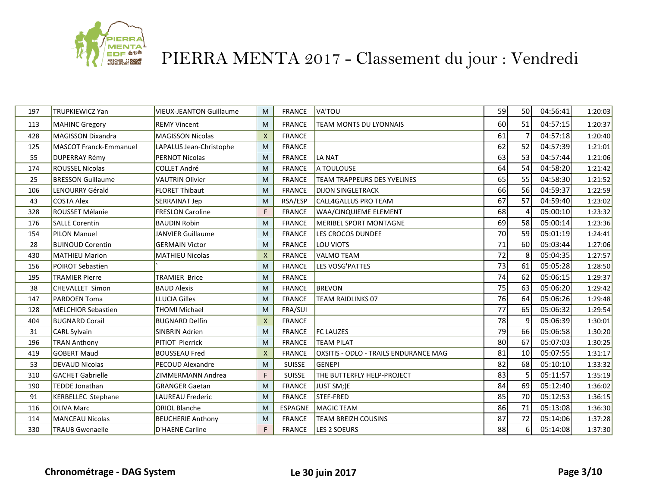

| 197 | TRUPKIEWICZ Yan           | <b>VIEUX-JEANTON Guillaume</b> | M            | <b>FRANCE</b> | <b>VA'TOU</b>                                | 59 | 50 <sup>1</sup> | 04:56:41 | 1:20:03 |
|-----|---------------------------|--------------------------------|--------------|---------------|----------------------------------------------|----|-----------------|----------|---------|
| 113 | <b>MAHINC Gregory</b>     | <b>REMY Vincent</b>            | M            | <b>FRANCE</b> | <b>TEAM MONTS DU LYONNAIS</b>                | 60 | 51              | 04:57:15 | 1:20:37 |
| 428 | <b>MAGISSON Dixandra</b>  | <b>MAGISSON Nicolas</b>        | $\mathsf{x}$ | <b>FRANCE</b> |                                              | 61 | 7               | 04:57:18 | 1:20:40 |
| 125 | MASCOT Franck-Emmanuel    | LAPALUS Jean-Christophe        | M            | <b>FRANCE</b> |                                              | 62 | 52              | 04:57:39 | 1:21:01 |
| 55  | <b>DUPERRAY Rémy</b>      | PERNOT Nicolas                 | M            | <b>FRANCE</b> | LA NAT                                       | 63 | 53              | 04:57:44 | 1:21:06 |
| 174 | <b>ROUSSEL Nicolas</b>    | <b>COLLET André</b>            | M            | <b>FRANCE</b> | A TOULOUSE                                   | 64 | 54              | 04:58:20 | 1:21:42 |
| 25  | <b>BRESSON Guillaume</b>  | <b>VAUTRIN Olivier</b>         | M            | <b>FRANCE</b> | <b>TEAM TRAPPEURS DES YVELINES</b>           | 65 | 55              | 04:58:30 | 1:21:52 |
| 106 | LENOURRY Gérald           | <b>FLORET Thibaut</b>          | M            | <b>FRANCE</b> | <b>DIJON SINGLETRACK</b>                     | 66 | 56              | 04:59:37 | 1:22:59 |
| 43  | <b>COSTA Alex</b>         | <b>SERRAINAT Jep</b>           | M            | RSA/ESP       | CALL4GALLUS PRO TEAM                         | 67 | 57              | 04:59:40 | 1:23:02 |
| 328 | ROUSSET Mélanie           | <b>FRESLON Caroline</b>        | F            | <b>FRANCE</b> | <b>WAA/CINQUIEME ELEMENT</b>                 | 68 | Δ               | 05:00:10 | 1:23:32 |
| 176 | <b>SALLE Corentin</b>     | <b>BAUDIN Robin</b>            | M            | <b>FRANCE</b> | <b>MERIBEL SPORT MONTAGNE</b>                | 69 | 58              | 05:00:14 | 1:23:36 |
| 154 | <b>PILON Manuel</b>       | JANVIER Guillaume              | M            | <b>FRANCE</b> | LES CROCOS DUNDEE                            | 70 | 59              | 05:01:19 | 1:24:41 |
| 28  | <b>BUINOUD Corentin</b>   | <b>GERMAIN Victor</b>          | M            | <b>FRANCE</b> | LOU VIOTS                                    | 71 | 60              | 05:03:44 | 1:27:06 |
| 430 | <b>MATHIEU Marion</b>     | <b>MATHIEU Nicolas</b>         | $\times$     | <b>FRANCE</b> | <b>VALMO TEAM</b>                            | 72 | 8               | 05:04:35 | 1:27:57 |
| 156 | <b>POIROT Sebastien</b>   |                                | M            | <b>FRANCE</b> | <b>LES VOSG'PATTES</b>                       | 73 | 61              | 05:05:28 | 1:28:50 |
| 195 | <b>TRAMIER Pierre</b>     | <b>TRAMIER Brice</b>           | M            | <b>FRANCE</b> |                                              | 74 | 62              | 05:06:15 | 1:29:37 |
| 38  | <b>CHEVALLET Simon</b>    | <b>BAUD Alexis</b>             | M            | <b>FRANCE</b> | <b>BREVON</b>                                | 75 | 63              | 05:06:20 | 1:29:42 |
| 147 | PARDOEN Toma              | <b>LLUCIA Gilles</b>           | M            | <b>FRANCE</b> | <b>TEAM RAIDLINKS 07</b>                     | 76 | 64              | 05:06:26 | 1:29:48 |
| 128 | <b>MELCHIOR Sebastien</b> | <b>THOMI Michael</b>           | M            | FRA/SUI       |                                              | 77 | 65              | 05:06:32 | 1:29:54 |
| 404 | <b>BUGNARD Corail</b>     | <b>BUGNARD Delfin</b>          | $\mathsf{x}$ | <b>FRANCE</b> |                                              | 78 | 9               | 05:06:39 | 1:30:01 |
| 31  | CARL Sylvain              | <b>SINBRIN Adrien</b>          | M            | <b>FRANCE</b> | <b>FC LAUZES</b>                             | 79 | 66              | 05:06:58 | 1:30:20 |
| 196 | <b>TRAN Anthony</b>       | PITIOT Pierrick                | M            | <b>FRANCE</b> | <b>TEAM PILAT</b>                            | 80 | 67              | 05:07:03 | 1:30:25 |
| 419 | <b>GOBERT Maud</b>        | <b>BOUSSEAU Fred</b>           | $\mathsf{X}$ | <b>FRANCE</b> | <b>OXSITIS - ODLO - TRAILS ENDURANCE MAG</b> | 81 | 10              | 05:07:55 | 1:31:17 |
| 53  | <b>DEVAUD Nicolas</b>     | PECOUD Alexandre               | M            | <b>SUISSE</b> | GENEPI                                       | 82 | 68              | 05:10:10 | 1:33:32 |
| 310 | <b>GACHET Gabrielle</b>   | ZIMMERMANN Andrea              | F            | <b>SUISSE</b> | THE BUTTERFLY HELP-PROJECT                   | 83 | 5               | 05:11:57 | 1:35:19 |
| 190 | <b>TEDDE Jonathan</b>     | <b>GRANGER Gaetan</b>          | M            | <b>FRANCE</b> | JUST SM;)E                                   | 84 | 69              | 05:12:40 | 1:36:02 |
| 91  | <b>KERBELLEC Stephane</b> | LAUREAU Frederic               | M            | <b>FRANCE</b> | STEF-FRED                                    | 85 | 70              | 05:12:53 | 1:36:15 |
| 116 | <b>OLIVA Marc</b>         | <b>ORIOL Blanche</b>           | M            | ESPAGNE       | MAGIC TEAM                                   | 86 | 71              | 05:13:08 | 1:36:30 |
| 114 | <b>MANCEAU Nicolas</b>    | <b>BEUCHERIE Anthony</b>       | M            | <b>FRANCE</b> | <b>TEAM BREIZH COUSINS</b>                   | 87 | 72              | 05:14:06 | 1:37:28 |
| 330 | <b>TRAUB Gwenaelle</b>    | <b>D'HAENE Carline</b>         | F            | <b>FRANCE</b> | LES 2 SOEURS                                 | 88 | $6\vert$        | 05:14:08 | 1:37:30 |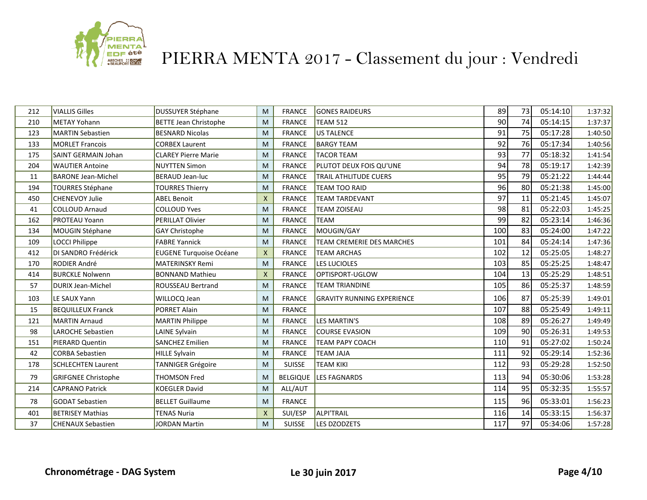

| 212 | <b>VIALLIS Gilles</b>      | DUSSUYER Stéphane              | M                         | <b>FRANCE</b>   | <b>GONES RAIDEURS</b>             | 89  | 73 | 05:14:10 | 1:37:32 |
|-----|----------------------------|--------------------------------|---------------------------|-----------------|-----------------------------------|-----|----|----------|---------|
| 210 | <b>METAY Yohann</b>        | <b>BETTE Jean Christophe</b>   | M                         | <b>FRANCE</b>   | <b>TEAM 512</b>                   | 90  | 74 | 05:14:15 | 1:37:37 |
| 123 | <b>MARTIN Sebastien</b>    | <b>BESNARD Nicolas</b>         | M                         | <b>FRANCE</b>   | <b>US TALENCE</b>                 | 91  | 75 | 05:17:28 | 1:40:50 |
| 133 | <b>MORLET Francois</b>     | <b>CORBEX Laurent</b>          | M                         | <b>FRANCE</b>   | <b>BARGY TEAM</b>                 | 92  | 76 | 05:17:34 | 1:40:56 |
| 175 | SAINT GERMAIN Johan        | <b>CLAREY Pierre Marie</b>     | M                         | <b>FRANCE</b>   | <b>TACOR TEAM</b>                 | 93  | 77 | 05:18:32 | 1:41:54 |
| 204 | <b>WAUTIER Antoine</b>     | <b>NUYTTEN Simon</b>           | M                         | <b>FRANCE</b>   | PLUTOT DEUX FOIS QU'UNE           | 94  | 78 | 05:19:17 | 1:42:39 |
| 11  | <b>BARONE Jean-Michel</b>  | <b>BERAUD Jean-luc</b>         | M                         | <b>FRANCE</b>   | TRAIL ATHLITUDE CUERS             | 95  | 79 | 05:21:22 | 1:44:44 |
| 194 | <b>TOURRES Stéphane</b>    | <b>TOURRES Thierry</b>         | M                         | <b>FRANCE</b>   | TEAM TOO RAID                     | 96  | 80 | 05:21:38 | 1:45:00 |
| 450 | CHENEVOY Julie             | <b>ABEL Benoit</b>             | $\boldsymbol{\mathsf{X}}$ | <b>FRANCE</b>   | <b>TEAM TARDEVANT</b>             | 97  | 11 | 05:21:45 | 1:45:07 |
| 41  | <b>COLLOUD Arnaud</b>      | <b>COLLOUD Yves</b>            | M                         | <b>FRANCE</b>   | TEAM ZOISEAU                      | 98  | 81 | 05:22:03 | 1:45:25 |
| 162 | <b>PROTEAU Yoann</b>       | <b>PERILLAT Olivier</b>        | M                         | <b>FRANCE</b>   | <b>TEAM</b>                       | 99  | 82 | 05:23:14 | 1:46:36 |
| 134 | MOUGIN Stéphane            | GAY Christophe                 | M                         | <b>FRANCE</b>   | MOUGIN/GAY                        | 100 | 83 | 05:24:00 | 1:47:22 |
| 109 | <b>LOCCI Philippe</b>      | <b>FABRE Yannick</b>           | M                         | <b>FRANCE</b>   | TEAM CREMERIE DES MARCHES         | 101 | 84 | 05:24:14 | 1:47:36 |
| 412 | DI SANDRO Frédérick        | <b>EUGENE Turquoise Océane</b> | $\boldsymbol{\mathsf{X}}$ | <b>FRANCE</b>   | <b>TEAM ARCHAS</b>                | 102 | 12 | 05:25:05 | 1:48:27 |
| 170 | <b>RODIER André</b>        | <b>MATERINSKY Remi</b>         | M                         | <b>FRANCE</b>   | <b>LES LUCIOLES</b>               | 103 | 85 | 05:25:25 | 1:48:47 |
| 414 | <b>BURCKLE Nolwenn</b>     | <b>BONNAND Mathieu</b>         | $\boldsymbol{\mathsf{X}}$ | <b>FRANCE</b>   | OPTISPORT-UGLOW                   | 104 | 13 | 05:25:29 | 1:48:51 |
| 57  | <b>DURIX Jean-Michel</b>   | ROUSSEAU Bertrand              | M                         | <b>FRANCE</b>   | TEAM TRIANDINE                    | 105 | 86 | 05:25:37 | 1:48:59 |
| 103 | LE SAUX Yann               | WILLOCQ Jean                   | M                         | <b>FRANCE</b>   | <b>GRAVITY RUNNING EXPERIENCE</b> | 106 | 87 | 05:25:39 | 1:49:01 |
| 15  | <b>BEQUILLEUX Franck</b>   | PORRET Alain                   | M                         | <b>FRANCE</b>   |                                   | 107 | 88 | 05:25:49 | 1:49:11 |
| 121 | <b>MARTIN Arnaud</b>       | <b>MARTIN Philippe</b>         | M                         | <b>FRANCE</b>   | <b>LES MARTIN'S</b>               | 108 | 89 | 05:26:27 | 1:49:49 |
| 98  | LAROCHE Sebastien          | LAINE Sylvain                  | M                         | <b>FRANCE</b>   | <b>COURSE EVASION</b>             | 109 | 90 | 05:26:31 | 1:49:53 |
| 151 | PIERARD Quentin            | <b>SANCHEZ Emilien</b>         | M                         | <b>FRANCE</b>   | TEAM PAPY COACH                   | 110 | 91 | 05:27:02 | 1:50:24 |
| 42  | <b>CORBA Sebastien</b>     | <b>HILLE Sylvain</b>           | M                         | <b>FRANCE</b>   | TEAM JAJA                         | 111 | 92 | 05:29:14 | 1:52:36 |
| 178 | <b>SCHLECHTEN Laurent</b>  | <b>TANNIGER Grégoire</b>       | M                         | <b>SUISSE</b>   | <b>TEAM KIKI</b>                  | 112 | 93 | 05:29:28 | 1:52:50 |
| 79  | <b>GRIFGNEE Christophe</b> | <b>THOMSON Fred</b>            | M                         | <b>BELGIQUE</b> | <b>LES FAGNARDS</b>               | 113 | 94 | 05:30:06 | 1:53:28 |
| 214 | <b>CAPRANO Patrick</b>     | <b>KOEGLER David</b>           | M                         | ALL/AUT         |                                   | 114 | 95 | 05:32:35 | 1:55:57 |
| 78  | <b>GODAT Sebastien</b>     | <b>BELLET Guillaume</b>        | M                         | <b>FRANCE</b>   |                                   | 115 | 96 | 05:33:01 | 1:56:23 |
| 401 | <b>BETRISEY Mathias</b>    | <b>TENAS Nuria</b>             | $\boldsymbol{\mathsf{X}}$ | SUI/ESP         | <b>ALPI'TRAIL</b>                 | 116 | 14 | 05:33:15 | 1:56:37 |
| 37  | <b>CHENAUX Sebastien</b>   | <b>JORDAN Martin</b>           | M                         | <b>SUISSE</b>   | LES DZODZETS                      | 117 | 97 | 05:34:06 | 1:57:28 |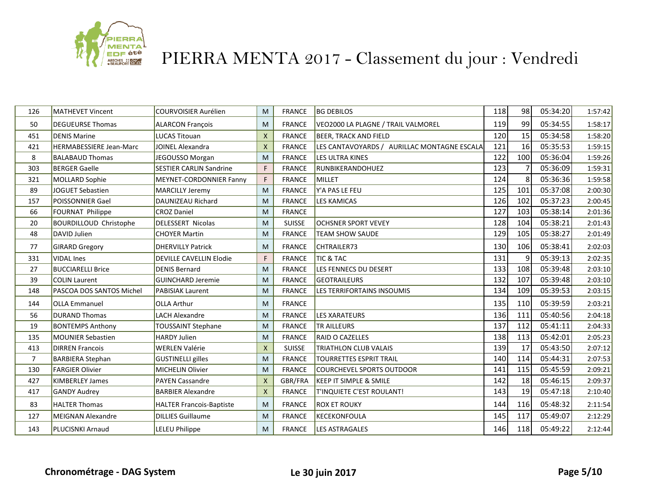

| 126            | <b>MATHEVET Vincent</b>       | <b>COURVOISIER Aurélien</b>     | M            | <b>FRANCE</b> | <b>BG DEBILOS</b>                           | 118 | 98           | 05:34:20 | 1:57:42 |
|----------------|-------------------------------|---------------------------------|--------------|---------------|---------------------------------------------|-----|--------------|----------|---------|
| 50             | <b>DEGUEURSE Thomas</b>       | <b>ALARCON Francois</b>         | M            | <b>FRANCE</b> | VEO2000 LA PLAGNE / TRAIL VALMOREL          | 119 | 99           | 05:34:55 | 1:58:17 |
| 451            | <b>DENIS Marine</b>           | <b>LUCAS Titouan</b>            | $\mathsf{x}$ | <b>FRANCE</b> | BEER, TRACK AND FIELD                       | 120 | 15           | 05:34:58 | 1:58:20 |
| 421            | HERMABESSIERE Jean-Marc       | <b>JOINEL Alexandra</b>         | $\mathsf{x}$ | <b>FRANCE</b> | LES CANTAVOYARDS / AURILLAC MONTAGNE ESCALA | 121 | 16           | 05:35:53 | 1:59:15 |
| 8              | <b>BALABAUD Thomas</b>        | JEGOUSSO Morgan                 | M            | <b>FRANCE</b> | LES ULTRA KINES                             | 122 | 100          | 05:36:04 | 1:59:26 |
| 303            | <b>BERGER Gaelle</b>          | <b>SESTIER CARLIN Sandrine</b>  | F            | <b>FRANCE</b> | RUNBIKERANDOHUEZ                            | 123 |              | 05:36:09 | 1:59:31 |
| 321            | <b>MOLLARD Sophie</b>         | <b>MEYNET-CORDONNIER Fanny</b>  | F            | <b>FRANCE</b> | MILLET                                      | 124 | 8            | 05:36:36 | 1:59:58 |
| 89             | <b>JOGUET Sebastien</b>       | <b>MARCILLY Jeremy</b>          | M            | <b>FRANCE</b> | Y'A PAS LE FEU                              | 125 | 101          | 05:37:08 | 2:00:30 |
| 157            | POISSONNIER Gael              | DAUNIZEAU Richard               | M            | <b>FRANCE</b> | <b>LES KAMICAS</b>                          | 126 | 102          | 05:37:23 | 2:00:45 |
| 66             | FOURNAT Philippe              | <b>CROZ Daniel</b>              | M            | <b>FRANCE</b> |                                             | 127 | 103          | 05:38:14 | 2:01:36 |
| 20             | <b>BOURDILLOUD Christophe</b> | <b>DELESSERT Nicolas</b>        | M            | <b>SUISSE</b> | <b>OCHSNER SPORT VEVEY</b>                  | 128 | 104          | 05:38:21 | 2:01:43 |
| 48             | DAVID Julien                  | <b>CHOYER Martin</b>            | M            | <b>FRANCE</b> | <b>TEAM SHOW SAUDE</b>                      | 129 | 105          | 05:38:27 | 2:01:49 |
| 77             | <b>GIRARD Gregory</b>         | <b>DHERVILLY Patrick</b>        | M            | <b>FRANCE</b> | <b>CHTRAILER73</b>                          | 130 | 106          | 05:38:41 | 2:02:03 |
| 331            | <b>VIDAL Ines</b>             | <b>DEVILLE CAVELLIN Elodie</b>  | F            | <b>FRANCE</b> | <b>TIC &amp; TAC</b>                        | 131 | $\mathsf{q}$ | 05:39:13 | 2:02:35 |
| 27             | <b>BUCCIARELLI Brice</b>      | <b>DENIS Bernard</b>            | M            | <b>FRANCE</b> | LES FENNECS DU DESERT                       | 133 | 108          | 05:39:48 | 2:03:10 |
| 39             | <b>COLIN Laurent</b>          | GUINCHARD Jeremie               | M            | <b>FRANCE</b> | <b>GEOTRAILEURS</b>                         | 132 | 107          | 05:39:48 | 2:03:10 |
| 148            | PASCOA DOS SANTOS Michel      | <b>PABISIAK Laurent</b>         | M            | <b>FRANCE</b> | <b>LES TERRIFORTAINS INSOUMIS</b>           | 134 | 109          | 05:39:53 | 2:03:15 |
| 144            | <b>OLLA Emmanuel</b>          | <b>OLLA Arthur</b>              | M            | <b>FRANCE</b> |                                             | 135 | 110          | 05:39:59 | 2:03:21 |
| 56             | <b>DURAND Thomas</b>          | <b>LACH Alexandre</b>           | M            | <b>FRANCE</b> | LES XARATEURS                               | 136 | 111          | 05:40:56 | 2:04:18 |
| 19             | <b>BONTEMPS Anthony</b>       | TOUSSAINT Stephane              | M            | <b>FRANCE</b> | TR AILLEURS                                 | 137 | 112          | 05:41:11 | 2:04:33 |
| 135            | <b>MOUNIER Sebastien</b>      | <b>HARDY Julien</b>             | M            | <b>FRANCE</b> | <b>RAID O CAZELLES</b>                      | 138 | 113          | 05:42:01 | 2:05:23 |
| 413            | <b>DIRREN Francois</b>        | <b>WERLEN Valérie</b>           | $\mathsf{x}$ | <b>SUISSE</b> | <b>TRIATHLON CLUB VALAIS</b>                | 139 | 17           | 05:43:50 | 2:07:12 |
| $\overline{7}$ | <b>BARBIERA Stephan</b>       | <b>GUSTINELLI gilles</b>        | M            | <b>FRANCE</b> | <b>TOURRETTES ESPRIT TRAIL</b>              | 140 | 114          | 05:44:31 | 2:07:53 |
| 130            | <b>FARGIER Olivier</b>        | <b>MICHELIN Olivier</b>         | M            | <b>FRANCE</b> | COURCHEVEL SPORTS OUTDOOR                   | 141 | 115          | 05:45:59 | 2:09:21 |
| 427            | <b>KIMBERLEY James</b>        | <b>PAYEN Cassandre</b>          | $\mathsf{X}$ | GBR/FRA       | KEEP IT SIMPLE & SMILE                      | 142 | 18           | 05:46:15 | 2:09:37 |
| 417            | <b>GANDY Audrey</b>           | <b>BARBIER Alexandre</b>        | $\mathsf{x}$ | <b>FRANCE</b> | T'INQUIETE C'EST ROULANT!                   | 143 | 19           | 05:47:18 | 2:10:40 |
| 83             | <b>HALTER Thomas</b>          | <b>HALTER Francois-Baptiste</b> | M            | <b>FRANCE</b> | <b>ROX ET ROUKY</b>                         | 144 | 116          | 05:48:32 | 2:11:54 |
| 127            | <b>MEIGNAN Alexandre</b>      | <b>DILLIES Guillaume</b>        | M            | <b>FRANCE</b> | KECEKONFOULA                                | 145 | 117          | 05:49:07 | 2:12:29 |
| 143            | <b>PLUCISNKI Arnaud</b>       | <b>LELEU Philippe</b>           | M            | <b>FRANCE</b> | <b>LES ASTRAGALES</b>                       | 146 | 118          | 05:49:22 | 2:12:44 |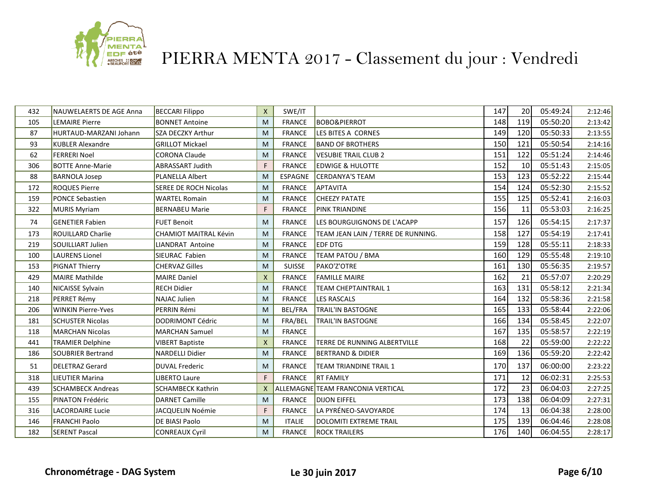

| 432 | <b>NAUWELAERTS DE AGE Anna</b> | <b>BECCARI Filippo</b>       | $\mathsf{X}$ | SWE/IT         |                                    | 147 | 20  | 05:49:24 | 2:12:46 |
|-----|--------------------------------|------------------------------|--------------|----------------|------------------------------------|-----|-----|----------|---------|
| 105 | <b>LEMAIRE Pierre</b>          | <b>BONNET Antoine</b>        | M            | <b>FRANCE</b>  | <b>BOBO&amp;PIERROT</b>            | 148 | 119 | 05:50:20 | 2:13:42 |
| 87  | HURTAUD-MARZANI Johann         | <b>SZA DECZKY Arthur</b>     | M            | <b>FRANCE</b>  | LES BITES A CORNES                 | 149 | 120 | 05:50:33 | 2:13:55 |
| 93  | <b>KUBLER Alexandre</b>        | <b>GRILLOT Mickael</b>       | M            | <b>FRANCE</b>  | <b>BAND OF BROTHERS</b>            | 150 | 121 | 05:50:54 | 2:14:16 |
| 62  | <b>FERRERI Noel</b>            | <b>CORONA Claude</b>         | M            | <b>FRANCE</b>  | <b>VESUBIE TRAIL CLUB 2</b>        | 151 | 122 | 05:51:24 | 2:14:46 |
| 306 | <b>BOTTE Anne-Marie</b>        | ABRASSART Judith             | F            | <b>FRANCE</b>  | <b>EDWIGE &amp; HULOTTE</b>        | 152 | 10  | 05:51:43 | 2:15:05 |
| 88  | <b>BARNOLA Josep</b>           | <b>PLANELLA Albert</b>       | M            | ESPAGNE        | CERDANYA'S TEAM                    | 153 | 123 | 05:52:22 | 2:15:44 |
| 172 | <b>ROQUES Pierre</b>           | SEREE DE ROCH Nicolas        | M            | <b>FRANCE</b>  | APTAVITA                           | 154 | 124 | 05:52:30 | 2:15:52 |
| 159 | <b>PONCE Sebastien</b>         | <b>WARTEL Romain</b>         | M            | <b>FRANCE</b>  | <b>CHEEZY PATATE</b>               | 155 | 125 | 05:52:41 | 2:16:03 |
| 322 | <b>MURIS Myriam</b>            | <b>BERNABEU Marie</b>        | F            | <b>FRANCE</b>  | <b>PINK TRIANDINE</b>              | 156 | 11  | 05:53:03 | 2:16:25 |
| 74  | <b>GENETIER Fabien</b>         | <b>FUET Benoit</b>           | M            | <b>FRANCE</b>  | LES BOURGUIGNONS DE L'ACAPP        | 157 | 126 | 05:54:15 | 2:17:37 |
| 173 | <b>ROUILLARD Charlie</b>       | <b>CHAMIOT MAITRAL Kévin</b> | M            | <b>FRANCE</b>  | TEAM JEAN LAIN / TERRE DE RUNNING. | 158 | 127 | 05:54:19 | 2:17:41 |
| 219 | SOUILLIART Julien              | LIANDRAT Antoine             | M            | <b>FRANCE</b>  | <b>EDF DTG</b>                     | 159 | 128 | 05:55:11 | 2:18:33 |
| 100 | <b>LAURENS Lionel</b>          | SIEURAC Fabien               | M            | <b>FRANCE</b>  | TEAM PATOU / BMA                   | 160 | 129 | 05:55:48 | 2:19:10 |
| 153 | PIGNAT Thierry                 | <b>CHERVAZ Gilles</b>        | M            | <b>SUISSE</b>  | PAKO'Z'OTRE                        | 161 | 130 | 05:56:35 | 2:19:57 |
| 429 | <b>MAIRE Mathilde</b>          | <b>MAIRE Daniel</b>          | $\mathsf{x}$ | <b>FRANCE</b>  | <b>FAMILLE MAIRE</b>               | 162 | 21  | 05:57:07 | 2:20:29 |
| 140 | NICAISSE Sylvain               | <b>RECH Didier</b>           | M            | <b>FRANCE</b>  | <b>TEAM CHEPTAINTRAIL 1</b>        | 163 | 131 | 05:58:12 | 2:21:34 |
| 218 | PERRET Rémy                    | <b>NAJAC Julien</b>          | M            | <b>FRANCE</b>  | <b>LES RASCALS</b>                 | 164 | 132 | 05:58:36 | 2:21:58 |
| 206 | <b>WINKIN Pierre-Yves</b>      | <b>PERRIN Rémi</b>           | M            | <b>BEL/FRA</b> | <b>TRAIL'IN BASTOGNE</b>           | 165 | 133 | 05:58:44 | 2:22:06 |
| 181 | <b>SCHUSTER Nicolas</b>        | <b>DODRIMONT Cédric</b>      | M            | FRA/BEL        | <b>TRAIL'IN BASTOGNE</b>           | 166 | 134 | 05:58:45 | 2:22:07 |
| 118 | <b>MARCHAN Nicolas</b>         | <b>MARCHAN Samuel</b>        | M            | <b>FRANCE</b>  |                                    | 167 | 135 | 05:58:57 | 2:22:19 |
| 441 | <b>TRAMIER Delphine</b>        | <b>VIBERT Baptiste</b>       | $\mathsf{X}$ | <b>FRANCE</b>  | TERRE DE RUNNING ALBERTVILLE       | 168 | 22  | 05:59:00 | 2:22:22 |
| 186 | <b>SOUBRIER Bertrand</b>       | <b>NARDELLI Didier</b>       | M            | <b>FRANCE</b>  | <b>BERTRAND &amp; DIDIER</b>       | 169 | 136 | 05:59:20 | 2:22:42 |
| 51  | <b>DELETRAZ Gerard</b>         | <b>DUVAL Frederic</b>        | M            | <b>FRANCE</b>  | <b>TEAM TRIANDINE TRAIL 1</b>      | 170 | 137 | 06:00:00 | 2:23:22 |
| 318 | <b>LIEUTIER Marina</b>         | <b>LIBERTO Laure</b>         | F            | <b>FRANCE</b>  | <b>RT FAMILY</b>                   | 171 | 12  | 06:02:31 | 2:25:53 |
| 439 | <b>SCHAMBECK Andreas</b>       | <b>SCHAMBECK Kathrin</b>     | $\mathsf{x}$ |                | ALLEMAGNE TEAM FRANCONIA VERTICAL  | 172 | 23  | 06:04:03 | 2:27:25 |
| 155 | <b>PINATON Frédéric</b>        | <b>DARNET Camille</b>        | M            | <b>FRANCE</b>  | <b>DIJON EIFFEL</b>                | 173 | 138 | 06:04:09 | 2:27:31 |
| 316 | <b>LACORDAIRE Lucie</b>        | JACQUELIN Noémie             | F            | <b>FRANCE</b>  | LA PYRÉNEO-SAVOYARDE               | 174 | 13  | 06:04:38 | 2:28:00 |
| 146 | <b>FRANCHI Paolo</b>           | DE BIASI Paolo               | M            | <b>ITALIE</b>  | DOLOMITI EXTREME TRAIL             | 175 | 139 | 06:04:46 | 2:28:08 |
| 182 | <b>SERENT Pascal</b>           | <b>CONREAUX Cyril</b>        | M            | <b>FRANCE</b>  | <b>ROCK TRAILERS</b>               | 176 | 140 | 06:04:55 | 2:28:17 |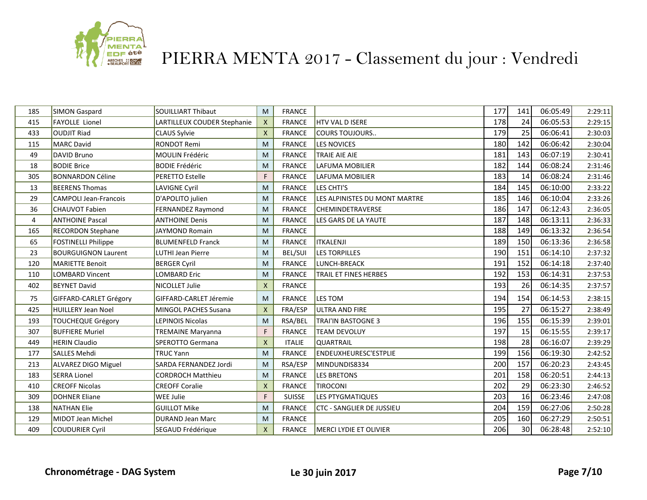

| 185 | SIMON Gaspard                | <b>SOUILLIART Thibaut</b>   | M                         | <b>FRANCE</b> |                               | 177 | 141 | 06:05:49 | 2:29:11 |
|-----|------------------------------|-----------------------------|---------------------------|---------------|-------------------------------|-----|-----|----------|---------|
| 415 | <b>FAYOLLE Lionel</b>        | LARTILLEUX COUDER Stephanie | $\mathsf{X}$              | <b>FRANCE</b> | <b>HTV VAL D ISERE</b>        | 178 | 24  | 06:05:53 | 2:29:15 |
| 433 | <b>OUDJIT Riad</b>           | <b>CLAUS Sylvie</b>         | $\mathsf{X}$              | <b>FRANCE</b> | <b>COURS TOUJOURS</b>         | 179 | 25  | 06:06:41 | 2:30:03 |
| 115 | <b>MARC David</b>            | <b>RONDOT Remi</b>          | M                         | <b>FRANCE</b> | <b>LES NOVICES</b>            | 180 | 142 | 06:06:42 | 2:30:04 |
| 49  | DAVID Bruno                  | MOULIN Frédéric             | M                         | <b>FRANCE</b> | <b>TRAIE AIE AIE</b>          | 181 | 143 | 06:07:19 | 2:30:41 |
| 18  | <b>BODIE Brice</b>           | <b>BODIE Frédéric</b>       | M                         | <b>FRANCE</b> | LAFUMA MOBILIER               | 182 | 144 | 06:08:24 | 2:31:46 |
| 305 | <b>BONNARDON Céline</b>      | PERETTO Estelle             | F                         | <b>FRANCE</b> | LAFUMA MOBILIER               | 183 | 14  | 06:08:24 | 2:31:46 |
| 13  | <b>BEERENS Thomas</b>        | <b>LAVIGNE Cyril</b>        | M                         | <b>FRANCE</b> | LES CHTI'S                    | 184 | 145 | 06:10:00 | 2:33:22 |
| 29  | <b>CAMPOLI Jean-Francois</b> | D'APOLITO julien            | M                         | <b>FRANCE</b> | LES ALPINISTES DU MONT MARTRE | 185 | 146 | 06:10:04 | 2:33:26 |
| 36  | <b>CHAUVOT Fabien</b>        | FERNANDEZ Raymond           | M                         | <b>FRANCE</b> | <b>CHEMINDETRAVERSE</b>       | 186 | 147 | 06:12:43 | 2:36:05 |
| 4   | <b>ANTHOINE Pascal</b>       | <b>ANTHOINE Denis</b>       | M                         | <b>FRANCE</b> | LES GARS DE LA YAUTE          | 187 | 148 | 06:13:11 | 2:36:33 |
| 165 | <b>RECORDON Stephane</b>     | JAYMOND Romain              | M                         | <b>FRANCE</b> |                               | 188 | 149 | 06:13:32 | 2:36:54 |
| 65  | <b>FOSTINELLI Philippe</b>   | <b>BLUMENFELD Franck</b>    | M                         | <b>FRANCE</b> | <b>ITKALENJI</b>              | 189 | 150 | 06:13:36 | 2:36:58 |
| 23  | <b>BOURGUIGNON Laurent</b>   | LUTHI Jean Pierre           | M                         | BEL/SUI       | <b>LES TORPILLES</b>          | 190 | 151 | 06:14:10 | 2:37:32 |
| 120 | <b>MARIETTE Benoit</b>       | <b>BERGER Cyril</b>         | M                         | <b>FRANCE</b> | LUNCH-BREACK                  | 191 | 152 | 06:14:18 | 2:37:40 |
| 110 | <b>LOMBARD Vincent</b>       | <b>LOMBARD Eric</b>         | M                         | <b>FRANCE</b> | TRAIL ET FINES HERBES         | 192 | 153 | 06:14:31 | 2:37:53 |
| 402 | <b>BEYNET David</b>          | NICOLLET Julie              | $\boldsymbol{\mathsf{X}}$ | <b>FRANCE</b> |                               | 193 | 26  | 06:14:35 | 2:37:57 |
| 75  | GIFFARD-CARLET Grégory       | GIFFARD-CARLET Jéremie      | M                         | <b>FRANCE</b> | LES TOM                       | 194 | 154 | 06:14:53 | 2:38:15 |
| 425 | <b>HUILLERY Jean Noel</b>    | MINGOL PACHES Susana        | $\mathsf{X}$              | FRA/ESP       | <b>ULTRA AND FIRE</b>         | 195 | 27  | 06:15:27 | 2:38:49 |
| 193 | <b>TOUCHEQUE Grégory</b>     | <b>LEPINOIS Nicolas</b>     | M                         | RSA/BEL       | <b>TRAI'IN BASTOGNE 3</b>     | 196 | 155 | 06:15:39 | 2:39:01 |
| 307 | <b>BUFFIERE Muriel</b>       | <b>TREMAINE Maryanna</b>    | F                         | <b>FRANCE</b> | <b>TEAM DEVOLUY</b>           | 197 | 15  | 06:15:55 | 2:39:17 |
| 449 | <b>HERIN Claudio</b>         | SPEROTTO Germana            | $\mathsf{x}$              | <b>ITALIE</b> | <b>QUARTRAIL</b>              | 198 | 28  | 06:16:07 | 2:39:29 |
| 177 | <b>SALLES Mehdi</b>          | <b>TRUC Yann</b>            | M                         | <b>FRANCE</b> | <b>ENDEUXHEURESC'ESTPLIE</b>  | 199 | 156 | 06:19:30 | 2:42:52 |
| 213 | ALVAREZ DIGO Miguel          | SARDA FERNANDEZ Jordi       | M                         | RSA/ESP       | MINDUNDIS8334                 | 200 | 157 | 06:20:23 | 2:43:45 |
| 183 | <b>SERRA Lionel</b>          | <b>CORDROCH Matthieu</b>    | M                         | <b>FRANCE</b> | <b>LES BRETONS</b>            | 201 | 158 | 06:20:51 | 2:44:13 |
| 410 | <b>CREOFF Nicolas</b>        | <b>CREOFF Coralie</b>       | $\boldsymbol{\mathsf{X}}$ | <b>FRANCE</b> | <b>TIROCONI</b>               | 202 | 29  | 06:23:30 | 2:46:52 |
| 309 | <b>DOHNER Eliane</b>         | WEE Julie                   | F                         | <b>SUISSE</b> | <b>LES PTYGMATIQUES</b>       | 203 | 16  | 06:23:46 | 2:47:08 |
| 138 | <b>NATHAN Elie</b>           | <b>GUILLOT Mike</b>         | M                         | <b>FRANCE</b> | CTC - SANGLIER DE JUSSIEU     | 204 | 159 | 06:27:06 | 2:50:28 |
| 129 | <b>MIDOT Jean Michel</b>     | <b>DURAND Jean Marc</b>     | M                         | <b>FRANCE</b> |                               | 205 | 160 | 06:27:29 | 2:50:51 |
| 409 | <b>COUDURIER Cyril</b>       | SEGAUD Frédérique           | $\mathsf{x}$              | <b>FRANCE</b> | MERCI LYDIE ET OLIVIER        | 206 | 30  | 06:28:48 | 2:52:10 |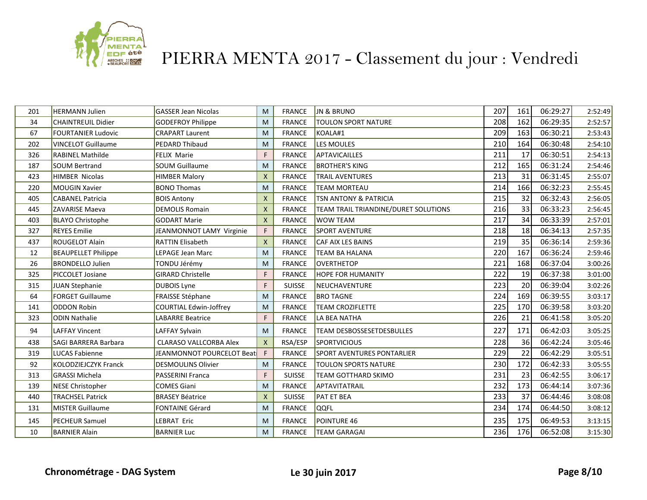

| 201 | <b>HERMANN Julien</b>       | <b>GASSER Jean Nicolas</b>    | M                         | <b>FRANCE</b> | <b>JN &amp; BRUNO</b>                | 207 | 161 | 06:29:27 | 2:52:49 |
|-----|-----------------------------|-------------------------------|---------------------------|---------------|--------------------------------------|-----|-----|----------|---------|
| 34  | <b>CHAINTREUIL Didier</b>   | GODEFROY Philippe             | M                         | <b>FRANCE</b> | <b>TOULON SPORT NATURE</b>           | 208 | 162 | 06:29:35 | 2:52:57 |
| 67  | <b>FOURTANIER Ludovic</b>   | <b>CRAPART Laurent</b>        | M                         | <b>FRANCE</b> | KOALA#1                              | 209 | 163 | 06:30:21 | 2:53:43 |
| 202 | <b>VINCELOT Guillaume</b>   | <b>PEDARD Thibaud</b>         | M                         | <b>FRANCE</b> | LES MOULES                           | 210 | 164 | 06:30:48 | 2:54:10 |
| 326 | <b>RABINEL Mathilde</b>     | <b>FELIX Marie</b>            | F                         | <b>FRANCE</b> | <b>APTAVICAILLES</b>                 | 211 | 17  | 06:30:51 | 2:54:13 |
| 187 | <b>SOUM Bertrand</b>        | <b>SOUM Guillaume</b>         | M                         | <b>FRANCE</b> | <b>BROTHER'S KING</b>                | 212 | 165 | 06:31:24 | 2:54:46 |
| 423 | <b>HIMBER Nicolas</b>       | <b>HIMBER Malory</b>          | $\boldsymbol{\mathsf{X}}$ | <b>FRANCE</b> | <b>TRAIL AVENTURES</b>               | 213 | 31  | 06:31:45 | 2:55:07 |
| 220 | <b>MOUGIN Xavier</b>        | <b>BONO Thomas</b>            | M                         | <b>FRANCE</b> | <b>TEAM MORTEAU</b>                  | 214 | 166 | 06:32:23 | 2:55:45 |
| 405 | <b>CABANEL Patricia</b>     | <b>BOIS Antony</b>            | $\mathsf{x}$              | <b>FRANCE</b> | <b>TSN ANTONY &amp; PATRICIA</b>     | 215 | 32  | 06:32:43 | 2:56:05 |
| 445 | <b>ZAVARISE Maeva</b>       | <b>DEMOLIS Romain</b>         | $\boldsymbol{\mathsf{X}}$ | <b>FRANCE</b> | TEAM TRAIL TRIANDINE/DURET SOLUTIONS | 216 | 33  | 06:33:23 | 2:56:45 |
| 403 | <b>BLAYO Christophe</b>     | <b>GODART Marie</b>           | $\mathsf{x}$              | <b>FRANCE</b> | <b>WOW TEAM</b>                      | 217 | 34  | 06:33:39 | 2:57:01 |
| 327 | <b>REYES Emilie</b>         | JEANMONNOT LAMY Virginie      | F                         | <b>FRANCE</b> | <b>SPORT AVENTURE</b>                | 218 | 18  | 06:34:13 | 2:57:35 |
| 437 | <b>ROUGELOT Alain</b>       | <b>RATTIN Elisabeth</b>       | $\boldsymbol{\mathsf{X}}$ | <b>FRANCE</b> | CAF AIX LES BAINS                    | 219 | 35  | 06:36:14 | 2:59:36 |
| 12  | <b>BEAUPELLET Philippe</b>  | LEPAGE Jean Marc              | M                         | <b>FRANCE</b> | <b>TEAM BA HALANA</b>                | 220 | 167 | 06:36:24 | 2:59:46 |
| 26  | <b>BRONDELLO Julien</b>     | TONDU Jérémy                  | M                         | <b>FRANCE</b> | OVERTHETOP                           | 221 | 168 | 06:37:04 | 3:00:26 |
| 325 | PICCOLET Josiane            | <b>GIRARD Christelle</b>      | F                         | <b>FRANCE</b> | <b>HOPE FOR HUMANITY</b>             | 222 | 19  | 06:37:38 | 3:01:00 |
| 315 | JUAN Stephanie              | <b>DUBOIS Lyne</b>            | F.                        | <b>SUISSE</b> | NEUCHAVENTURE                        | 223 | 20  | 06:39:04 | 3:02:26 |
| 64  | <b>FORGET Guillaume</b>     | <b>FRAISSE Stéphane</b>       | M                         | <b>FRANCE</b> | <b>BRO TAGNE</b>                     | 224 | 169 | 06:39:55 | 3:03:17 |
| 141 | <b>ODDON Robin</b>          | <b>COURTIAL Edwin-Joffrey</b> | M                         | <b>FRANCE</b> | <b>TEAM CROZIFLETTE</b>              | 225 | 170 | 06:39:58 | 3:03:20 |
| 323 | <b>ODIN Nathalie</b>        | <b>LABARRE Beatrice</b>       | F                         | <b>FRANCE</b> | LA BEA NATHA                         | 226 | 21  | 06:41:58 | 3:05:20 |
| 94  | <b>LAFFAY Vincent</b>       | LAFFAY Sylvain                | M                         | <b>FRANCE</b> | <b>TEAM DESBOSSESETDESBULLES</b>     | 227 | 171 | 06:42:03 | 3:05:25 |
| 438 | <b>SAGI BARRERA Barbara</b> | <b>CLARASO VALLCORBA Alex</b> | $\mathsf{x}$              | RSA/ESP       | <b>SPORTVICIOUS</b>                  | 228 | 36  | 06:42:24 | 3:05:46 |
| 319 | <b>LUCAS Fabienne</b>       | JEANMONNOT POURCELOT Beat     | F                         | <b>FRANCE</b> | <b>SPORT AVENTURES PONTARLIER</b>    | 229 | 22  | 06:42:29 | 3:05:51 |
| 92  | KOLODZIEJCZYK Franck        | <b>DESMOULINS Olivier</b>     | M                         | <b>FRANCE</b> | <b>TOULON SPORTS NATURE</b>          | 230 | 172 | 06:42:33 | 3:05:55 |
| 313 | <b>GRASSI Michela</b>       | PASSERINI Franca              | F                         | <b>SUISSE</b> | TEAM GOTTHARD SKIMO                  | 231 | 23  | 06:42:55 | 3:06:17 |
| 139 | <b>NESE Christopher</b>     | <b>COMES Giani</b>            | M                         | <b>FRANCE</b> | APTAVITATRAIL                        | 232 | 173 | 06:44:14 | 3:07:36 |
| 440 | <b>TRACHSEL Patrick</b>     | <b>BRASEY Béatrice</b>        | $\mathsf{x}$              | <b>SUISSE</b> | <b>PAT ET BEA</b>                    | 233 | 37  | 06:44:46 | 3:08:08 |
| 131 | <b>MISTER Guillaume</b>     | <b>FONTAINE Gérard</b>        | M                         | <b>FRANCE</b> | QQFL                                 | 234 | 174 | 06:44:50 | 3:08:12 |
| 145 | <b>PECHEUR Samuel</b>       | LEBRAT Eric                   | M                         | <b>FRANCE</b> | POINTURE 46                          | 235 | 175 | 06:49:53 | 3:13:15 |
| 10  | <b>BARNIER Alain</b>        | <b>BARNIER Luc</b>            | M                         | <b>FRANCE</b> | <b>TEAM GARAGAI</b>                  | 236 | 176 | 06:52:08 | 3:15:30 |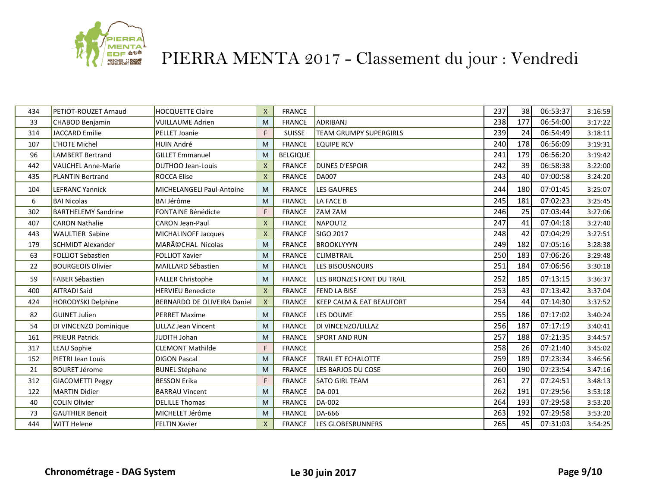

| 434 | <b>PETIOT-ROUZET Arnaud</b> | <b>HOCQUETTE Claire</b>            | $\mathsf{x}$              | <b>FRANCE</b>   |                                     | 237 | 38  | 06:53:37 | 3:16:59 |
|-----|-----------------------------|------------------------------------|---------------------------|-----------------|-------------------------------------|-----|-----|----------|---------|
| 33  | CHABOD Benjamin             | <b>VUILLAUME Adrien</b>            | M                         | <b>FRANCE</b>   | ADRIBANJ                            | 238 | 177 | 06:54:00 | 3:17:22 |
| 314 | <b>JACCARD Emilie</b>       | PELLET Joanie                      | F                         | <b>SUISSE</b>   | TEAM GRUMPY SUPERGIRLS              | 239 | 24  | 06:54:49 | 3:18:11 |
| 107 | L'HOTE Michel               | <b>HUIN André</b>                  | M                         | <b>FRANCE</b>   | <b>EQUIPE RCV</b>                   | 240 | 178 | 06:56:09 | 3:19:31 |
| 96  | <b>LAMBERT Bertrand</b>     | <b>GILLET Emmanuel</b>             | M                         | <b>BELGIQUE</b> |                                     | 241 | 179 | 06:56:20 | 3:19:42 |
| 442 | <b>VAUCHEL Anne-Marie</b>   | <b>DUTHOO Jean-Louis</b>           | $\boldsymbol{\mathsf{X}}$ | <b>FRANCE</b>   | <b>DUNES D'ESPOIR</b>               | 242 | 39  | 06:58:38 | 3:22:00 |
| 435 | <b>PLANTIN Bertrand</b>     | <b>ROCCA Elise</b>                 | $\mathsf{X}$              | <b>FRANCE</b>   | <b>DA007</b>                        | 243 | 40  | 07:00:58 | 3:24:20 |
| 104 | <b>LEFRANC Yannick</b>      | MICHELANGELI Paul-Antoine          | M                         | <b>FRANCE</b>   | <b>LES GAUFRES</b>                  | 244 | 180 | 07:01:45 | 3:25:07 |
| 6   | <b>BAI Nicolas</b>          | <b>BAI Jérôme</b>                  | M                         | <b>FRANCE</b>   | LA FACE B                           | 245 | 181 | 07:02:23 | 3:25:45 |
| 302 | <b>BARTHELEMY Sandrine</b>  | <b>FONTAINE Bénédicte</b>          | F                         | <b>FRANCE</b>   | <b>ZAM ZAM</b>                      | 246 | 25  | 07:03:44 | 3:27:06 |
| 407 | <b>CARON Nathalie</b>       | <b>CARON Jean-Paul</b>             | $\boldsymbol{\mathsf{X}}$ | <b>FRANCE</b>   | NAPOUTZ                             | 247 | 41  | 07:04:18 | 3:27:40 |
| 443 | <b>WAULTIER Sabine</b>      | MICHALINOFF Jacques                | $\boldsymbol{\mathsf{X}}$ | <b>FRANCE</b>   | SIGO 2017                           | 248 | 42  | 07:04:29 | 3:27:51 |
| 179 | <b>SCHMIDT Alexander</b>    | MARéCHAL Nicolas                   | M                         | <b>FRANCE</b>   | <b>BROOKLYYYN</b>                   | 249 | 182 | 07:05:16 | 3:28:38 |
| 63  | <b>FOLLIOT Sebastien</b>    | <b>FOLLIOT Xavier</b>              | M                         | <b>FRANCE</b>   | <b>CLIMBTRAIL</b>                   | 250 | 183 | 07:06:26 | 3:29:48 |
| 22  | <b>BOURGEOIS Olivier</b>    | MAILLARD Sébastien                 | M                         | <b>FRANCE</b>   | <b>LES BISOUSNOURS</b>              | 251 | 184 | 07:06:56 | 3:30:18 |
| 59  | <b>FABER Sébastien</b>      | <b>FALLER Christophe</b>           | M                         | <b>FRANCE</b>   | LES BRONZES FONT DU TRAIL           | 252 | 185 | 07:13:15 | 3:36:37 |
| 400 | <b>AITRADI Said</b>         | <b>HERVIEU Benedicte</b>           | $\boldsymbol{\mathsf{X}}$ | <b>FRANCE</b>   | <b>FEND LA BISE</b>                 | 253 | 43  | 07:13:42 | 3:37:04 |
| 424 | <b>HORODYSKI Delphine</b>   | <b>BERNARDO DE OLIVEIRA Daniel</b> | $\mathsf{X}$              | <b>FRANCE</b>   | <b>KEEP CALM &amp; EAT BEAUFORT</b> | 254 | 44  | 07:14:30 | 3:37:52 |
| 82  | <b>GUINET Julien</b>        | <b>PERRET Maxime</b>               | M                         | <b>FRANCE</b>   | LES DOUME                           | 255 | 186 | 07:17:02 | 3:40:24 |
| 54  | DI VINCENZO Dominique       | LILLAZ Jean Vincent                | M                         | <b>FRANCE</b>   | DI VINCENZO/LILLAZ                  | 256 | 187 | 07:17:19 | 3:40:41 |
| 161 | <b>PRIEUR Patrick</b>       | JUDITH Johan                       | M                         | <b>FRANCE</b>   | <b>SPORT AND RUN</b>                | 257 | 188 | 07:21:35 | 3:44:57 |
| 317 | <b>LEAU Sophie</b>          | <b>CLEMONT Mathilde</b>            | F                         | <b>FRANCE</b>   |                                     | 258 | 26  | 07:21:40 | 3:45:02 |
| 152 | PIETRI Jean Louis           | <b>DIGON Pascal</b>                | M                         | <b>FRANCE</b>   | TRAIL ET ECHALOTTE                  | 259 | 189 | 07:23:34 | 3:46:56 |
| 21  | <b>BOURET Jérome</b>        | <b>BUNEL Stéphane</b>              | M                         | <b>FRANCE</b>   | LES BARJOS DU COSE                  | 260 | 190 | 07:23:54 | 3:47:16 |
| 312 | <b>GIACOMETTI Peggy</b>     | <b>BESSON Erika</b>                | F                         | <b>FRANCE</b>   | <b>SATO GIRL TEAM</b>               | 261 | 27  | 07:24:51 | 3:48:13 |
| 122 | <b>MARTIN Didier</b>        | <b>BARRAU Vincent</b>              | M                         | <b>FRANCE</b>   | <b>DA-001</b>                       | 262 | 191 | 07:29:56 | 3:53:18 |
| 40  | <b>COLIN Olivier</b>        | <b>DELILLE Thomas</b>              | M                         | <b>FRANCE</b>   | DA-002                              | 264 | 193 | 07:29:58 | 3:53:20 |
| 73  | <b>GAUTHIER Benoit</b>      | MICHELET Jérôme                    | M                         | <b>FRANCE</b>   | DA-666                              | 263 | 192 | 07:29:58 | 3:53:20 |
| 444 | <b>WITT Helene</b>          | <b>FELTIN Xavier</b>               | $\mathsf{X}$              | <b>FRANCE</b>   | LES GLOBESRUNNERS                   | 265 | 45  | 07:31:03 | 3:54:25 |